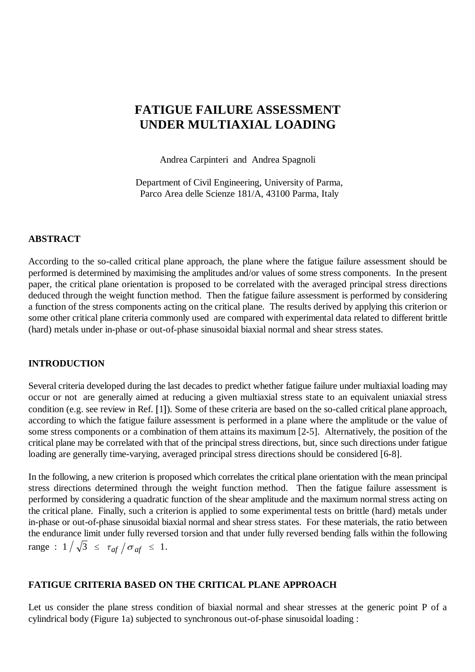# **FATIGUE FAILURE ASSESSMENT UNDER MULTIAXIAL LOADING**

Andrea Carpinteri and Andrea Spagnoli

Department of Civil Engineering, University of Parma, Parco Area delle Scienze 181/A, 43100 Parma, Italy

#### **ABSTRACT**

According to the so-called critical plane approach, the plane where the fatigue failure assessment should be performed is determined by maximising the amplitudes and/or values of some stress components. In the present paper, the critical plane orientation is proposed to be correlated with the averaged principal stress directions deduced through the weight function method. Then the fatigue failure assessment is performed by considering a function of the stress components acting on the critical plane. The results derived by applying this criterion or some other critical plane criteria commonly used are compared with experimental data related to different brittle (hard) metals under in-phase or out-of-phase sinusoidal biaxial normal and shear stress states.

## **INTRODUCTION**

Several criteria developed during the last decades to predict whether fatigue failure under multiaxial loading may occur or not are generally aimed at reducing a given multiaxial stress state to an equivalent uniaxial stress condition (e.g. see review in Ref.  $[1]$ ). Some of these criteria are based on the so-called critical plane approach, according to which the fatigue failure assessment is performed in a plane where the amplitude or the value of some stress components or a combination of them attains its maximum [2-5]. Alternatively, the position of the critical plane may be correlated with that of the principal stress directions, but, since such directions under fatigue loading are generally time-varying, averaged principal stress directions should be considered [6-8].

In the following, a new criterion is proposed which correlates the critical plane orientation with the mean principal stress directions determined through the weight function method. Then the fatigue failure assessment is performed by considering a quadratic function of the shear amplitude and the maximum normal stress acting on the critical plane. Finally, such a criterion is applied to some experimental tests on brittle (hard) metals under in-phase or out-of-phase sinusoidal biaxial normal and shear stress states. For these materials, the ratio between the endurance limit under fully reversed torsion and that under fully reversed bending falls within the following range :  $1/\sqrt{3} \leq \tau_{af}/\sigma_{af} \leq 1$ .

#### **FATIGUE CRITERIA BASED ON THE CRITICAL PLANE APPROACH**

Let us consider the plane stress condition of biaxial normal and shear stresses at the generic point P of a cylindrical body (Figure 1a) subjected to synchronous out-of-phase sinusoidal loading :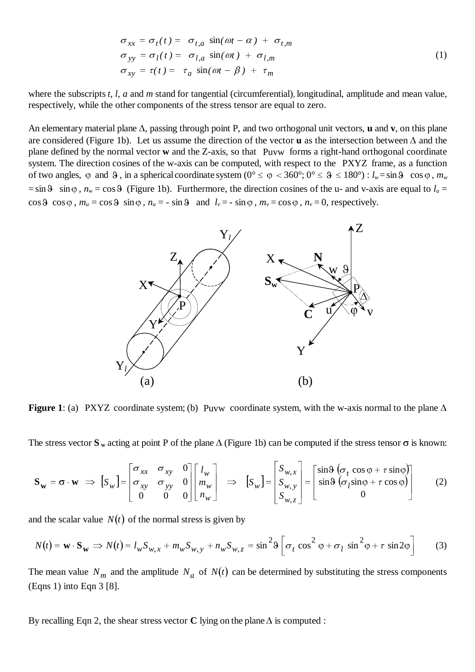$$
\sigma_{xx} = \sigma_t(t) = \sigma_{t,a} \sin(\omega t - \alpha) + \sigma_{t,m}
$$
  
\n
$$
\sigma_{yy} = \sigma_l(t) = \sigma_{l,a} \sin(\omega t) + \sigma_{l,m}
$$
  
\n
$$
\sigma_{xy} = \tau(t) = \tau_a \sin(\omega t - \beta) + \tau_m
$$
\n(1)

where the subscripts*t*, *l*, *a* and *m* stand for tangential (circumferential), longitudinal, amplitude and mean value, respectively, while the other components of the stress tensor are equal to zero.

An elementary material plane  $\Delta$ , passing through point P, and two orthogonal unit vectors, **u** and **v**, on this plane are considered (Figure 1b). Let us assume the direction of the vector **u** as the intersection between  $\Delta$  and the plane defined by the normal vector **w** and the Z-axis, so that Puvw forms a right-hand orthogonal coordinate system. The direction cosines of the w-axis can be computed, with respect to the PXYZ frame, as a function of two angles,  $\varphi$  and  $\vartheta$ , in a spherical coordinate system ( $0^{\circ} \leq \varphi < 360^{\circ}$ ;  $0^{\circ} \leq \vartheta \leq 180^{\circ}$ ) :  $l_w = \sin \vartheta \cos \varphi$ ,  $m_w$  $=$  sin $\theta$  sin $\phi$ ,  $n_w$  = cos $\theta$  (Figure 1b). Furthermore, the direction cosines of the u- and v-axis are equal to  $l_u$  =  $\cos\theta$  cos $\varphi$ ,  $m_u = \cos\theta$  sin $\varphi$ ,  $n_u = -\sin\theta$  and  $l_v = -\sin\varphi$ ,  $m_v = \cos\varphi$ ,  $n_v = 0$ , respectively.



**Figure 1**: (a) PXYZ coordinate system; (b) Puvw coordinate system, with the w-axis normal to the plane  $\Delta$ 

The stress vector  $S_w$  acting at point P of the plane  $\Delta$  (Figure 1b) can be computed if the stress tensor  $\sigma$  is known:

$$
\mathbf{S}_{\mathbf{w}} = \boldsymbol{\sigma} \cdot \mathbf{w} \implies \begin{bmatrix} S_w \end{bmatrix} = \begin{bmatrix} \sigma_{xx} & \sigma_{xy} & 0 \\ \sigma_{xy} & \sigma_{yy} & 0 \\ 0 & 0 & 0 \end{bmatrix} \begin{bmatrix} l_w \\ m_w \\ n_w \end{bmatrix} \implies \begin{bmatrix} S_{w,x} \\ S_{w,y} \\ S_{w,z} \end{bmatrix} = \begin{bmatrix} \sin \theta & (\sigma_t \cos \varphi + \tau \sin \varphi) \\ \sin \theta & (\sigma_t \sin \varphi + \tau \cos \varphi) \\ 0 & 0 \end{bmatrix} \tag{2}
$$

and the scalar value  $N(t)$  of the normal stress is given by

$$
N(t) = \mathbf{w} \cdot \mathbf{S}_{\mathbf{w}} \implies N(t) = l_w S_{w,x} + m_w S_{w,y} + n_w S_{w,z} = \sin^2 \theta \left[ \sigma_t \cos^2 \phi + \sigma_l \sin^2 \phi + \tau \sin 2\phi \right] \tag{3}
$$

The mean value  $N_m$  and the amplitude  $N_a$  of  $N(t)$  can be determined by substituting the stress components (Eqns 1) into Eqn 3 [8].

By recalling Eqn 2, the shear stress vector  $C$  lying on the plane  $\Delta$  is computed :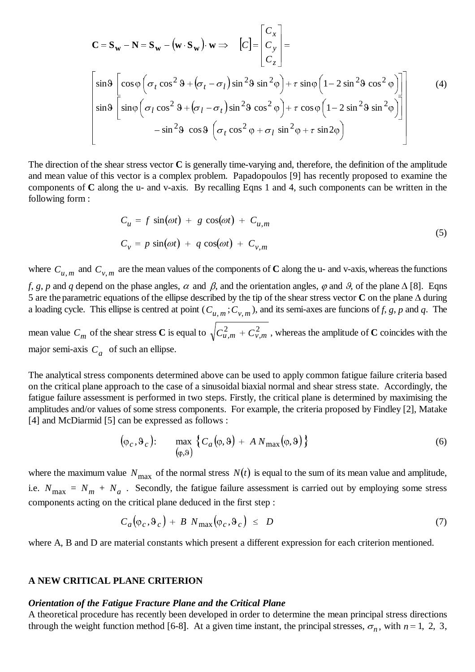$$
\mathbf{C} = \mathbf{S}_{\mathbf{w}} - \mathbf{N} = \mathbf{S}_{\mathbf{w}} - (\mathbf{w} \cdot \mathbf{S}_{\mathbf{w}}) \cdot \mathbf{w} \Rightarrow [C] = \begin{bmatrix} C_x \\ C_y \\ C_z \end{bmatrix} =
$$
  
\n
$$
\begin{bmatrix} \sin \theta \\ \sin \theta \end{bmatrix} \begin{bmatrix} \cos \phi \left( \sigma_t \cos^2 \theta + (\sigma_t - \sigma_l) \sin^2 \theta \sin^2 \phi \right) + \tau \sin \phi \left( 1 - 2 \sin^2 \theta \cos^2 \phi \right) \end{bmatrix}
$$
  
\n
$$
\begin{bmatrix} \sin \theta \\ \sin \phi \end{bmatrix} \begin{bmatrix} \sin \phi \left( \sigma_l \cos^2 \theta + (\sigma_l - \sigma_t) \sin^2 \theta \cos^2 \phi \right) + \tau \cos \phi \left( 1 - 2 \sin^2 \theta \sin^2 \phi \right) \end{bmatrix}
$$
  
\n
$$
- \sin^2 \theta \cos \theta \left( \sigma_t \cos^2 \phi + \sigma_l \sin^2 \phi + \tau \sin 2\phi \right)
$$
\n(4)

The direction of the shear stress vector **C** is generally time-varying and, therefore, the definition of the amplitude and mean value of this vector is a complex problem. Papadopoulos [9] has recently proposed to examine the components of **C** along the u- and v-axis. By recalling Eqns 1 and 4, such components can be written in the following form :

$$
C_u = f \sin(\omega t) + g \cos(\omega t) + C_{u,m}
$$
  
\n
$$
C_v = p \sin(\omega t) + q \cos(\omega t) + C_{v,m}
$$
\n(5)

where  $C_{u,m}$  and  $C_{v,m}$  are the mean values of the components of **C** along the u- and v-axis, whereas the functions *f*, *g*, *p* and *q* depend on the phase angles,  $\alpha$  and  $\beta$ , and the orientation angles,  $\varphi$  and  $\beta$ , of the plane  $\Delta$  [8]. Eqns 5 are the parametric equations of the ellipse described by the tip of the shear stress vector  $C$  on the plane  $\Delta$  during a loading cycle. This ellipse is centred at point  $(C_{u,m}; C_{v,m})$ , and its semi-axes are funcions of *f*, *g*, *p* and *q*. The mean value  $C_m$  of the shear stress **C** is equal to  $\sqrt{C_{u,m}^2 + C_{v,m}^2}$ , whereas the amplitude of **C** coincides with the

major semi-axis  $C_a$  of such an ellipse.

The analytical stress components determined above can be used to apply common fatigue failure criteria based on the critical plane approach to the case of a sinusoidal biaxial normal and shear stress state. Accordingly, the fatigue failure assessment is performed in two steps. Firstly, the critical plane is determined by maximising the amplitudes and/or values of some stress components. For example, the criteria proposed by Findley [2], Matake [4] and McDiarmid [5] can be expressed as follows :

$$
(\varphi_c, \vartheta_c): \max_{(\varphi, \vartheta)} \left\{ C_a(\varphi, \vartheta) + A N_{\max}(\varphi, \vartheta) \right\} \tag{6}
$$

where the maximum value  $N_{\text{max}}$  of the normal stress  $N(t)$  is equal to the sum of its mean value and amplitude, i.e.  $N_{\text{max}} = N_m + N_a$ . Secondly, the fatigue failure assessment is carried out by employing some stress components acting on the critical plane deduced in the first step :

$$
C_a(\varphi_c, \vartheta_c) + B N_{\text{max}}(\varphi_c, \vartheta_c) \le D \tag{7}
$$

where A, B and D are material constants which present a different expression for each criterion mentioned.

#### **A NEW CRITICAL PLANE CRITERION**

#### *Orientation of the Fatigue Fracture Plane and the Critical Plane*

A theoretical procedure has recently been developed in order to determine the mean principal stress directions through the weight function method [6-8]. At a given time instant, the principal stresses,  $\sigma_n$ , with  $n = 1, 2, 3$ ,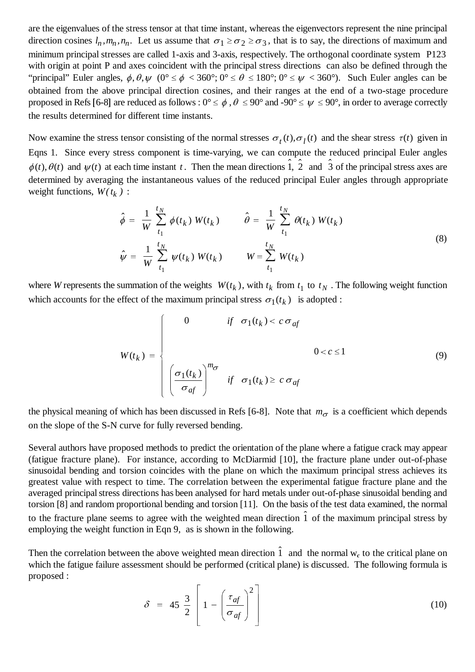are the eigenvalues of the stress tensor at that time instant, whereas the eigenvectors represent the nine principal direction cosines  $l_n$ ,  $m_n$ ,  $n_n$ . Let us assume that  $\sigma_1 \ge \sigma_2 \ge \sigma_3$ , that is to say, the directions of maximum and minimum principal stresses are called 1-axis and 3-axis, respectively. The orthogonal coordinate system P123 with origin at point P and axes coincident with the principal stress directions can also be defined through the "principal" Euler angles,  $\phi$ ,  $\theta$ ,  $\psi$  (0°  $\leq \phi$  < 360°; 0°  $\leq \theta \leq 180$ °; 0°  $\leq \psi$  < 360°). Such Euler angles can be obtained from the above principal direction cosines, and their ranges at the end of a two-stage procedure proposed in Refs [6-8] are reduced as follows :  $0^{\circ} \le \phi$ ,  $\theta \le 90^{\circ}$  and -90°  $\le \psi \le 90^{\circ}$ , in order to average correctly the results determined for different time instants.

Now examine the stress tensor consisting of the normal stresses  $\sigma_t(t), \sigma_l(t)$  and the shear stress  $\tau(t)$  given in Eqns 1. Since every stress component is time-varying, we can compute the reduced principal Euler angles Now examine the stress tensor consisting of the normal stresses  $\sigma_t(t)$ ,  $\sigma_l(t)$  and Eqns 1. Since every stress component is time-varying, we can compute the  $\phi(t)$ ,  $\theta(t)$  and  $\psi(t)$  at each time instant *t*. Then the me  $\phi(t), \theta(t)$  and  $\psi(t)$  at each time instant t. Then the mean directions  $\hat{1}$ ,  $\hat{2}$  and  $\hat{3}$  of the principal stress axes are determined by averaging the instantaneous values of the reduced principal Euler angles through appropriate<br>weight functions,  $W(t_k)$ :<br> $\hat{\phi} = \frac{1}{W} \sum_{k=1}^{t} \phi(t_k) W(t_k)$   $\hat{\theta} = \frac{1}{W} \sum_{k=1}^{t} \theta(t_k) W(t_k)$ weight functions,  $W(t_k)$  :

$$
\hat{\phi} = \frac{1}{W} \sum_{t_1}^{t_N} \phi(t_k) W(t_k) \qquad \hat{\theta} = \frac{1}{W} \sum_{t_1}^{t_N} \theta(t_k) W(t_k)
$$
\n
$$
\hat{\psi} = \frac{1}{W} \sum_{t_1}^{t_N} \psi(t_k) W(t_k) \qquad W = \sum_{t_1}^{t_N} W(t_k)
$$
\n(8)

where *W* represents the summation of the weights  $W(t_k)$ , with  $t_k$  from  $t_1$  to  $t_N$ . The following weight function which accounts for the effect of the maximum principal stress  $\sigma_1(t_k)$  is adopted :

$$
W(t_k) = \begin{cases} 0 & \text{if } \sigma_1(t_k) < c \sigma_{af} \\ 0 < c \le 1 \end{cases} \tag{9}
$$
\n
$$
\left( \frac{\sigma_1(t_k)}{\sigma_{af}} \right)^{m_{\sigma}} \quad \text{if } \sigma_1(t_k) \ge c \sigma_{af}
$$

the physical meaning of which has been discussed in Refs [6-8]. Note that  $m<sub>\sigma</sub>$  is a coefficient which depends on the slope of the S-N curve for fully reversed bending.

Several authors have proposed methods to predict the orientation of the plane where a fatigue crack may appear (fatigue fracture plane). For instance, according to McDiarmid [10], the fracture plane under out-of-phase sinusoidal bending and torsion coincides with the plane on which the maximum principal stress achieves its greatest value with respect to time. The correlation between the experimental fatigue fracture plane and the averaged principal stress directions has been analysed for hard metals under out-of-phase sinusoidal bending and torsion [8] and random proportional bending and torsion [11]. On the basis of the test data examined, the normal to the fracture plane seems to agree with the weighted mean direction  $\hat{1}$  of the maximum principal stress by employing the weight function in Eqn 9, as is shown in the following.

Then the correlation between the above weighted mean direction  $\hat{1}$  and the normal w<sub>c</sub> to the critical plane on which the fatigue failure assessment should be performed (critical plane) is discussed. The following formula is proposed :

$$
\delta = 45 \frac{3}{2} \left[ 1 - \left( \frac{\tau_{af}}{\sigma_{af}} \right)^2 \right]
$$
 (10)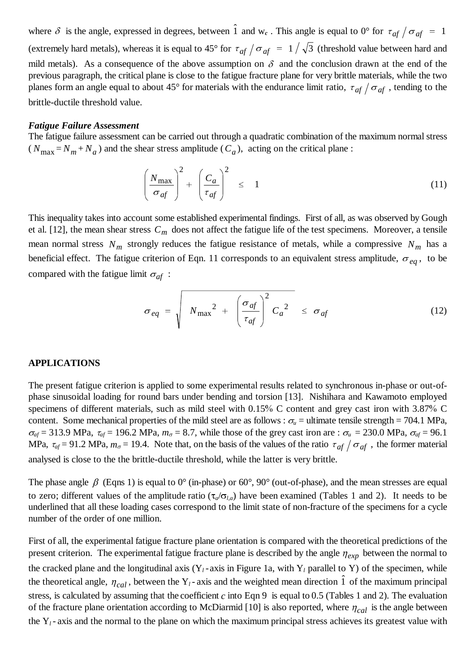where  $\delta$  is the angle, expressed in degrees, between 1 and w<sub>c</sub>. This angle is equal to 0° for  $\tau_{af}/\sigma_{af} = 1$ (extremely hard metals), whereas it is equal to 45° for  $\tau_{af}/\sigma_{af} = 1/\sqrt{3}$  (threshold value between hard and mild metals). As a consequence of the above assumption on  $\delta$  and the conclusion drawn at the end of the previous paragraph, the critical plane is close to the fatigue fracture plane for very brittle materials, while the two planes form an angle equal to about 45° for materials with the endurance limit ratio,  $\tau_{af}/\sigma_{af}$ , tending to the brittle-ductile threshold value.

#### *Fatigue Failure Assessment*

The fatigue failure assessment can be carried out through a quadratic combination of the maximum normal stress  $(N_{\text{max}} = N_m + N_a)$  and the shear stress amplitude  $(C_a)$ , acting on the critical plane :

$$
\left(\frac{N_{\text{max}}}{\sigma_{af}}\right)^2 + \left(\frac{C_a}{\tau_{af}}\right)^2 \leq 1 \tag{11}
$$

This inequality takes into account some established experimental findings. First of all, as was observed by Gough et al. [12], the mean shear stress  $C_m$  does not affect the fatigue life of the test specimens. Moreover, a tensile mean normal stress  $N_m$  strongly reduces the fatigue resistance of metals, while a compressive  $N_m$  has a beneficial effect. The fatigue criterion of Eqn. 11 corresponds to an equivalent stress amplitude,  $\sigma_{eq}$ , to be compared with the fatigue limit  $\sigma_{af}$ :

$$
\sigma_{eq} = \sqrt{N_{\text{max}}^2 + \left(\frac{\sigma_{af}}{\tau_{af}}\right)^2 C_a^2} \leq \sigma_{af}
$$
 (12)

#### **APPLICATIONS**

The present fatigue criterion is applied to some experimental results related to synchronous in-phase or out-ofphase sinusoidal loading for round bars under bending and torsion [13]. Nishihara and Kawamoto employed specimens of different materials, such as mild steel with  $0.15\%$  C content and grey cast iron with 3.87% C content. Some mechanical properties of the mild steel are as follows :  $\sigma_u$  = ultimate tensile strength = 704.1 MPa,  $\sigma_{af}$  = 313.9 MPa,  $\tau_{af}$  = 196.2 MPa,  $m_{\sigma}$  = 8.7, while those of the grey cast iron are :  $\sigma_u$  = 230.0 MPa,  $\sigma_{af}$  = 96.1 MPa,  $\tau_{af} = 91.2$  MPa,  $m_{\sigma} = 19.4$ . Note that, on the basis of the values of the ratio  $\tau_{af}/\sigma_{af}$ , the former material analysed is close to the the brittle-ductile threshold, while the latter is very brittle.

The phase angle  $\beta$  (Eqns 1) is equal to 0° (in-phase) or 60°, 90° (out-of-phase), and the mean stresses are equal to zero; different values of the amplitude ratio  $(\tau_a/\sigma_{a})$  have been examined (Tables 1 and 2). It needs to be underlined that all these loading cases correspond to the limit state of non-fracture of the specimens for a cycle number of the order of one million.

First of all, the experimental fatigue fracture plane orientation is compared with the theoretical predictions of the present criterion. The experimental fatigue fracture plane is described by the angle  $\eta_{exp}$  between the normal to the cracked plane and the longitudinal axis ( $Y_l$ -axis in Figure 1a, with  $Y_l$  parallel to Y) of the specimen, while the theoretical angle,  $\eta_{cal}$ , between the Y<sub>l</sub>-axis and the weighted mean direction  $\hat{1}$  of the maximum principal stress, is calculated by assuming that the coefficient *c* into Eqn 9 is equal to 0.5 (Tables 1 and 2). The evaluation of the fracture plane orientation according to McDiarmid [10] is also reported, where  $\eta_{cal}$  is the angle between the  $Y_l$ - axis and the normal to the plane on which the maximum principal stress achieves its greatest value with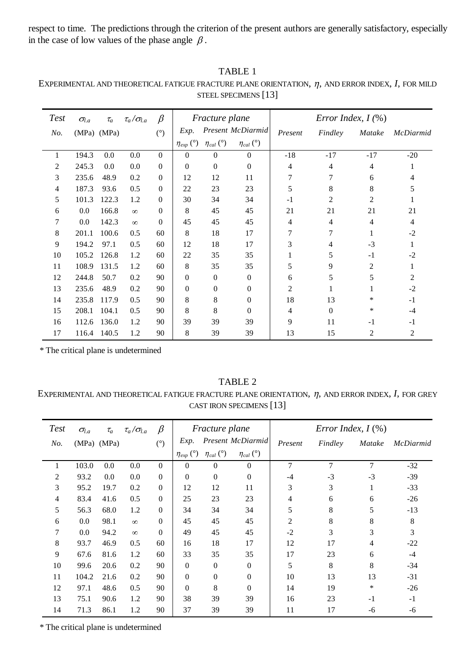respect to time. The predictions through the criterion of the present authors are generally satisfactory, especially in the case of low values of the phase angle  $\beta$ .

# TABLE 1

| EXPERIMENTAL AND THEORETICAL FATIGUE FRACTURE PLANE ORIENTATION, $\eta$ , and ERROR INDEX, $I$ , FOR MILD |
|-----------------------------------------------------------------------------------------------------------|
| STEEL SPECIMENS [13]                                                                                      |

| <b>Test</b> | $\sigma_{l.a}$ | $\tau_a$    | $\tau_a/\sigma_{l.a}$ | $\beta$          | <i>Fracture plane</i> |                  |                   | Error Index, $I(\%)$ |          |        |                |
|-------------|----------------|-------------|-----------------------|------------------|-----------------------|------------------|-------------------|----------------------|----------|--------|----------------|
| No.         |                | (MPa) (MPa) |                       | (°)              | Exp.                  |                  | Present McDiarmid | Present              | Findley  | Matake | McDiarmid      |
|             |                |             |                       |                  | $\eta_{exp}$ (°)      | $\eta_{cal}$ (°) | $\eta_{cal}$ (°)  |                      |          |        |                |
| 1           | 194.3          | 0.0         | 0.0                   | $\Omega$         | $\Omega$              | $\Omega$         | $\Omega$          | $-18$                | $-17$    | $-17$  | $-20$          |
| 2           | 245.3          | 0.0         | 0.0                   | $\overline{0}$   | $\mathbf{0}$          | $\mathbf{0}$     | $\boldsymbol{0}$  | 4                    | 4        | 4      | 1              |
| 3           | 235.6          | 48.9        | 0.2                   | $\boldsymbol{0}$ | 12                    | 12               | 11                | 7                    | 7        | 6      | 4              |
| 4           | 187.3          | 93.6        | 0.5                   | $\overline{0}$   | 22                    | 23               | 23                | 5                    | 8        | 8      | 5              |
| 5           | 101.3          | 122.3       | 1.2                   | $\overline{0}$   | 30                    | 34               | 34                | $-1$                 | 2        | 2      |                |
| 6           | $0.0\,$        | 166.8       | $\infty$              | $\overline{0}$   | 8                     | 45               | 45                | 21                   | 21       | 21     | 21             |
| 7           | $0.0\,$        | 142.3       | $\infty$              | $\overline{0}$   | 45                    | 45               | 45                | 4                    | 4        | 4      | 4              |
| 8           | 201.1          | 100.6       | 0.5                   | 60               | 8                     | 18               | 17                | 7                    | 7        | 1      | $-2$           |
| 9           | 194.2          | 97.1        | 0.5                   | 60               | 12                    | 18               | 17                | 3                    | 4        | $-3$   | 1              |
| 10          | 105.2          | 126.8       | 1.2                   | 60               | 22                    | 35               | 35                | 1                    | 5        | $-1$   | $-2$           |
| 11          | 108.9          | 131.5       | 1.2                   | 60               | 8                     | 35               | 35                | 5                    | 9        | 2      | 1              |
| 12          | 244.8          | 50.7        | 0.2                   | 90               | $\boldsymbol{0}$      | $\overline{0}$   | $\mathbf{0}$      | 6                    | 5        | 5      | $\overline{2}$ |
| 13          | 235.6          | 48.9        | 0.2                   | 90               | $\boldsymbol{0}$      | $\boldsymbol{0}$ | $\Omega$          | $\overline{c}$       | 1        |        | $-2$           |
| 14          | 235.8          | 117.9       | 0.5                   | 90               | 8                     | 8                | $\Omega$          | 18                   | 13       | *      | $-1$           |
| 15          | 208.1          | 104.1       | 0.5                   | 90               | 8                     | 8                | $\Omega$          | 4                    | $\Omega$ | *      | $-4$           |
| 16          | 112.6          | 136.0       | 1.2                   | 90               | 39                    | 39               | 39                | 9                    | 11       | $-1$   | $-1$           |
| 17          | 116.4          | 140.5       | 1.2                   | 90               | 8                     | 39               | 39                | 13                   | 15       | 2      | 2              |

\* The critical plane is undetermined

# TABLE 2

# EXPERIMENTAL AND THEORETICAL FATIGUE FRACTURE PLANE ORIENTATION,  $\eta$ , and error index,  $I$ , for grey CAST IRON SPECIMENS [13]

| <b>Test</b>    | $\sigma_{l.a}$ | $\tau_a$    | $\tau_a/\sigma_{l.a}$ | $\beta$          | Fracture plane   |                  |                   | Error Index, $I(\%)$ |         |        |                  |
|----------------|----------------|-------------|-----------------------|------------------|------------------|------------------|-------------------|----------------------|---------|--------|------------------|
| No.            |                | (MPa) (MPa) |                       | (°)              | Exp.             |                  | Present McDiarmid | Present              | Findley | Matake | <b>McDiarmid</b> |
|                |                |             |                       |                  | $\eta_{exp}$ (°) | $\eta_{cal}$ (°) | $\eta_{cal}$ (°)  |                      |         |        |                  |
| 1              | 103.0          | 0.0         | 0.0                   | $\mathbf{0}$     | $\Omega$         | $\overline{0}$   | $\mathbf{0}$      | 7                    | 7       | 7      | $-32$            |
| 2              | 93.2           | 0.0         | 0.0                   | $\boldsymbol{0}$ | $\mathbf{0}$     | $\mathbf{0}$     | $\boldsymbol{0}$  | $-4$                 | $-3$    | $-3$   | $-39$            |
| 3              | 95.2           | 19.7        | 0.2                   | $\boldsymbol{0}$ | 12               | 12               | 11                | 3                    | 3       |        | $-33$            |
| $\overline{4}$ | 83.4           | 41.6        | 0.5                   | $\boldsymbol{0}$ | 25               | 23               | 23                | 4                    | 6       | 6      | $-26$            |
| 5              | 56.3           | 68.0        | 1.2                   | $\mathbf{0}$     | 34               | 34               | 34                | 5                    | 8       | 5      | $-13$            |
| 6              | 0.0            | 98.1        | $\infty$              | $\mathbf{0}$     | 45               | 45               | 45                | 2                    | 8       | 8      | 8                |
| 7              | 0.0            | 94.2        | $\infty$              | $\mathbf{0}$     | 49               | 45               | 45                | $-2$                 | 3       | 3      | 3                |
| 8              | 93.7           | 46.9        | 0.5                   | 60               | 16               | 18               | 17                | 12                   | 17      | 4      | $-22$            |
| 9              | 67.6           | 81.6        | 1.2                   | 60               | 33               | 35               | 35                | 17                   | 23      | 6      | $-4$             |
| 10             | 99.6           | 20.6        | 0.2                   | 90               | $\overline{0}$   | $\overline{0}$   | $\Omega$          | 5                    | 8       | 8      | $-34$            |
| 11             | 104.2          | 21.6        | 0.2                   | 90               | $\boldsymbol{0}$ | $\overline{0}$   | $\mathbf{0}$      | 10                   | 13      | 13     | $-31$            |
| 12             | 97.1           | 48.6        | 0.5                   | 90               | $\Omega$         | 8                | $\Omega$          | 14                   | 19      | ∗      | $-26$            |
| 13             | 75.1           | 90.6        | 1.2                   | 90               | 38               | 39               | 39                | 16                   | 23      | $-1$   | $-1$             |
| 14             | 71.3           | 86.1        | 1.2                   | 90               | 37               | 39               | 39                | 11                   | 17      | -6     | -6               |

\* The critical plane is undetermined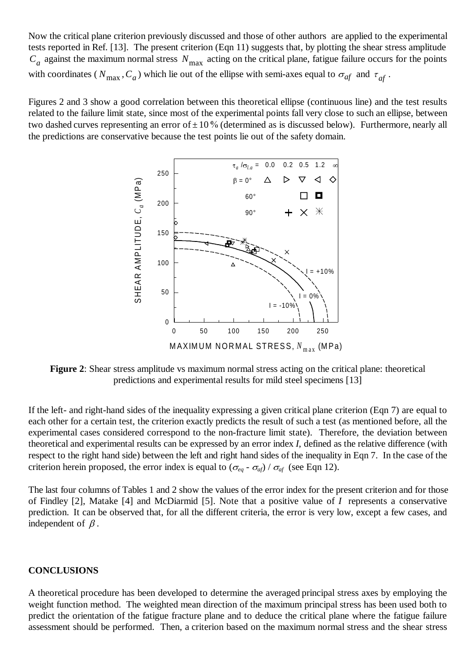Now the critical plane criterion previously discussed and those of other authors are applied to the experimental tests reported in Ref. [13]. The present criterion (Eqn 11) suggests that, by plotting the shear stress amplitude  $C_a$  against the maximum normal stress  $N_{\text{max}}$  acting on the critical plane, fatigue failure occurs for the points with coordinates ( $N_{\text{max}}$ ,  $C_a$ ) which lie out of the ellipse with semi-axes equal to  $\sigma_{af}$  and  $\tau_{af}$ .

Figures 2 and 3 show a good correlation between this theoretical ellipse (continuous line) and the test results related to the failure limit state, since most of the experimental points fall very close to such an ellipse, between two dashed curves representing an error of  $\pm 10\%$  (determined as is discussed below). Furthermore, nearly all the predictions are conservative because the test points lie out of the safety domain.



**Figure 2**: Shear stress amplitude vs maximum normal stress acting on the critical plane: theoretical predictions and experimental results for mild steel specimens [13]

If the left- and right-hand sides of the inequality expressing a given critical plane criterion (Eqn 7) are equal to each other for a certain test, the criterion exactly predicts the result of such a test (as mentioned before, all the experimental cases considered correspond to the non-fracture limit state). Therefore, the deviation between theoretical and experimental results can be expressed by an error index *I*, defined as the relative difference (with respect to the right hand side) between the left and right hand sides of the inequality in Eqn 7. In the case of the criterion herein proposed, the error index is equal to  $(\sigma_{eq} - \sigma_{af}) / \sigma_{af}$  (see Eqn 12).

The last four columns of Tables 1 and 2 show the values of the error index for the present criterion and for those of Findley [2], Matake [4] and McDiarmid [5]. Note that a positive value of *I* represents a conservative prediction. It can be observed that, for all the different criteria, the error is very low, except a few cases, and independent of  $\beta$ .

# **CONCLUSIONS**

A theoretical procedure has been developed to determine the averaged principal stress axes by employing the weight function method. The weighted mean direction of the maximum principal stress has been used both to predict the orientation of the fatigue fracture plane and to deduce the critical plane where the fatigue failure assessment should be performed. Then, a criterion based on the maximum normal stress and the shear stress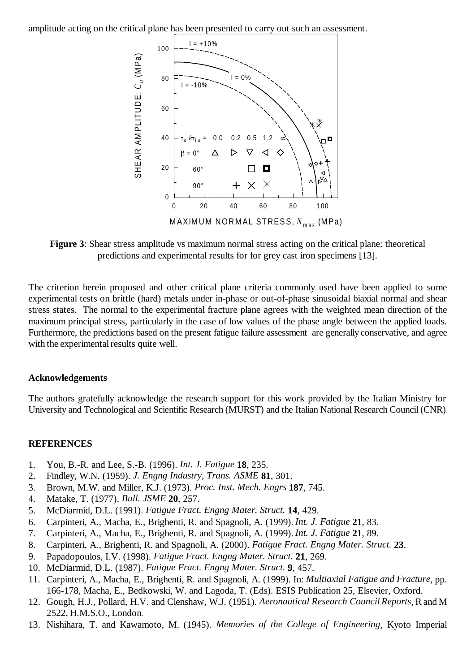amplitude acting on the critical plane has been presented to carry out such an assessment.



**Figure 3**: Shear stress amplitude vs maximum normal stress acting on the critical plane: theoretical predictions and experimental results for for grey cast iron specimens [13].

The criterion herein proposed and other critical plane criteria commonly used have been applied to some experimental tests on brittle (hard) metals under in-phase or out-of-phase sinusoidal biaxial normal and shear stress states. The normal to the experimental fracture plane agrees with the weighted mean direction of the maximum principal stress, particularly in the case of low values of the phase angle between the applied loads. Furthermore, the predictions based on the present fatigue failure assessment are generally conservative, and agree with the experimental results quite well.

# **Acknowledgements**

The authors gratefully acknowledge the research support for this work provided by the Italian Ministry for University and Technological and Scientific Research (MURST) and the Italian National Research Council (CNR).

# **REFERENCES**

- 1. You, B.-R. and Lee, S.-B. (1996). *Int. J. Fatigue* **18**, 235.
- 2. Findley, W.N. (1959). *J. Engng Industry, Trans. ASME* **81**, 301.
- 3. Brown, M.W. and Miller, K.J. (1973). *Proc. Inst. Mech. Engrs* **187**, 745.
- 4. Matake, T. (1977). *Bull. JSME* **20**, 257.
- 5. McDiarmid, D.L. (1991). *Fatigue Fract. Engng Mater. Struct.* **14**, 429.
- 6. Carpinteri, A., Macha, E., Brighenti, R. and Spagnoli, A. (1999). *Int. J. Fatigue* **21**, 83.
- 7. Carpinteri, A., Macha, E., Brighenti, R. and Spagnoli, A. (1999). *Int. J. Fatigue* **21**, 89.
- 8. Carpinteri, A., Brighenti, R. and Spagnoli, A. (2000). *Fatigue Fract. Engng Mater. Struct.* **23**.
- 9. Papadopoulos, I.V. (1998). *Fatigue Fract. Engng Mater. Struct.* **21**, 269.
- 10. McDiarmid, D.L. (1987). *Fatigue Fract. Engng Mater. Struct.* **9**, 457.
- 11. Carpinteri, A., Macha, E., Brighenti, R. and Spagnoli, A. (1999). In: *Multiaxial Fatigue and Fracture*, pp. 166-178, Macha, E., Bedkowski, W. and Lagoda, T. (Eds). ESIS Publication 25, Elsevier, Oxford.
- 12. Gough, H.J., Pollard, H.V. and Clenshaw, W.J. (1951). *Aeronautical Research Council Reports*, R and M 2522, H.M.S.O., London.
- 13. Nishihara, T. and Kawamoto, M. (1945). *Memories of the College of Engineering*, Kyoto Imperial